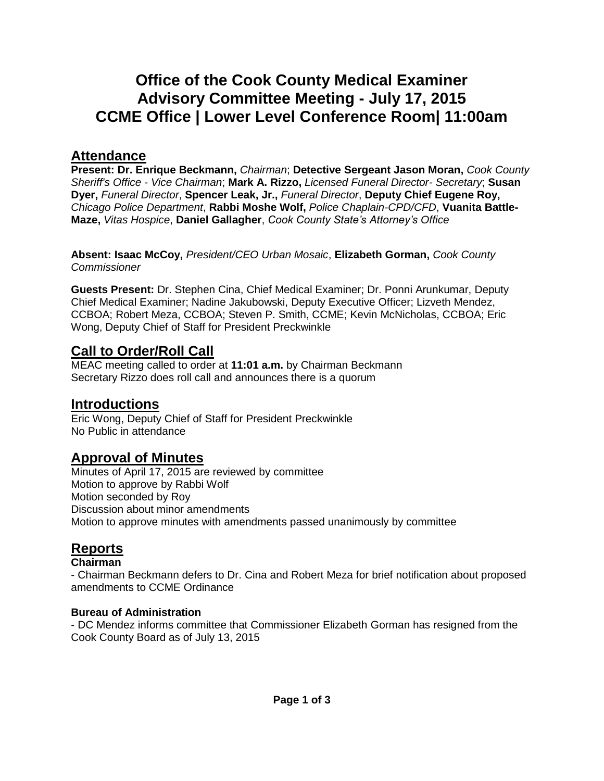# **Office of the Cook County Medical Examiner Advisory Committee Meeting - July 17, 2015 CCME Office | Lower Level Conference Room| 11:00am**

### **Attendance**

**Present: Dr. Enrique Beckmann,** *Chairman*; **Detective Sergeant Jason Moran,** *Cook County Sheriff's Office - Vice Chairman*; **Mark A. Rizzo,** *Licensed Funeral Director- Secretary*; **Susan Dyer,** *Funeral Director*, **Spencer Leak, Jr.,** *Funeral Director*, **Deputy Chief Eugene Roy,**  *Chicago Police Department*, **Rabbi Moshe Wolf,** *Police Chaplain-CPD/CFD*, **Vuanita Battle-Maze,** *Vitas Hospice*, **Daniel Gallagher**, *Cook County State's Attorney's Office*

**Absent: Isaac McCoy,** *President/CEO Urban Mosaic*, **Elizabeth Gorman,** *Cook County Commissioner*

**Guests Present:** Dr. Stephen Cina, Chief Medical Examiner; Dr. Ponni Arunkumar, Deputy Chief Medical Examiner; Nadine Jakubowski, Deputy Executive Officer; Lizveth Mendez, CCBOA; Robert Meza, CCBOA; Steven P. Smith, CCME; Kevin McNicholas, CCBOA; Eric Wong, Deputy Chief of Staff for President Preckwinkle

## **Call to Order/Roll Call**

MEAC meeting called to order at **11:01 a.m.** by Chairman Beckmann Secretary Rizzo does roll call and announces there is a quorum

#### **Introductions**

Eric Wong, Deputy Chief of Staff for President Preckwinkle No Public in attendance

### **Approval of Minutes**

Minutes of April 17, 2015 are reviewed by committee Motion to approve by Rabbi Wolf Motion seconded by Roy Discussion about minor amendments Motion to approve minutes with amendments passed unanimously by committee

# **Reports**

#### **Chairman**

- Chairman Beckmann defers to Dr. Cina and Robert Meza for brief notification about proposed amendments to CCME Ordinance

#### **Bureau of Administration**

- DC Mendez informs committee that Commissioner Elizabeth Gorman has resigned from the Cook County Board as of July 13, 2015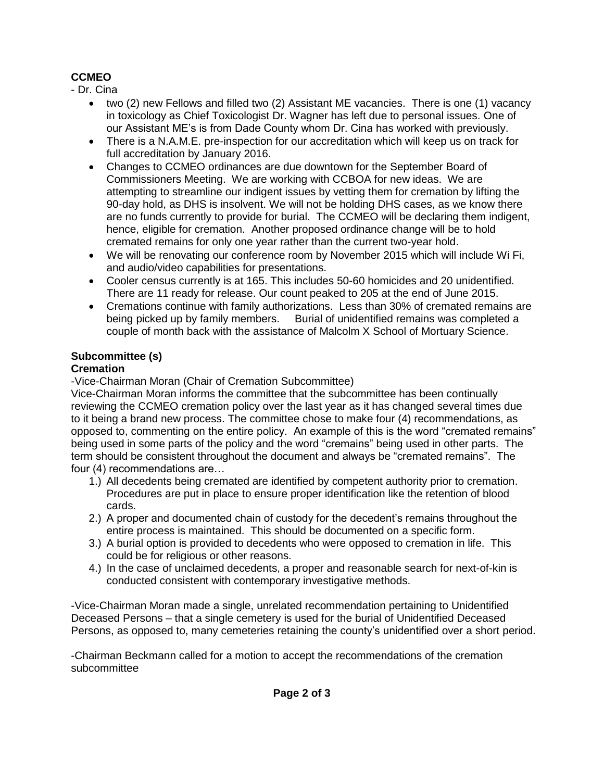#### **CCMEO**

- Dr. Cina

- two (2) new Fellows and filled two (2) Assistant ME vacancies. There is one (1) vacancy in toxicology as Chief Toxicologist Dr. Wagner has left due to personal issues. One of our Assistant ME's is from Dade County whom Dr. Cina has worked with previously.
- There is a N.A.M.E. pre-inspection for our accreditation which will keep us on track for full accreditation by January 2016.
- Changes to CCMEO ordinances are due downtown for the September Board of Commissioners Meeting. We are working with CCBOA for new ideas. We are attempting to streamline our indigent issues by vetting them for cremation by lifting the 90-day hold, as DHS is insolvent. We will not be holding DHS cases, as we know there are no funds currently to provide for burial. The CCMEO will be declaring them indigent, hence, eligible for cremation. Another proposed ordinance change will be to hold cremated remains for only one year rather than the current two-year hold.
- We will be renovating our conference room by November 2015 which will include Wi Fi, and audio/video capabilities for presentations.
- Cooler census currently is at 165. This includes 50-60 homicides and 20 unidentified. There are 11 ready for release. Our count peaked to 205 at the end of June 2015.
- Cremations continue with family authorizations. Less than 30% of cremated remains are being picked up by family members. Burial of unidentified remains was completed a couple of month back with the assistance of Malcolm X School of Mortuary Science.

#### **Subcommittee (s) Cremation**

-Vice-Chairman Moran (Chair of Cremation Subcommittee)

Vice-Chairman Moran informs the committee that the subcommittee has been continually reviewing the CCMEO cremation policy over the last year as it has changed several times due to it being a brand new process. The committee chose to make four (4) recommendations, as opposed to, commenting on the entire policy. An example of this is the word "cremated remains" being used in some parts of the policy and the word "cremains" being used in other parts. The term should be consistent throughout the document and always be "cremated remains". The four (4) recommendations are…

- 1.) All decedents being cremated are identified by competent authority prior to cremation. Procedures are put in place to ensure proper identification like the retention of blood cards.
- 2.) A proper and documented chain of custody for the decedent's remains throughout the entire process is maintained. This should be documented on a specific form.
- 3.) A burial option is provided to decedents who were opposed to cremation in life. This could be for religious or other reasons.
- 4.) In the case of unclaimed decedents, a proper and reasonable search for next-of-kin is conducted consistent with contemporary investigative methods.

-Vice-Chairman Moran made a single, unrelated recommendation pertaining to Unidentified Deceased Persons – that a single cemetery is used for the burial of Unidentified Deceased Persons, as opposed to, many cemeteries retaining the county's unidentified over a short period.

-Chairman Beckmann called for a motion to accept the recommendations of the cremation subcommittee